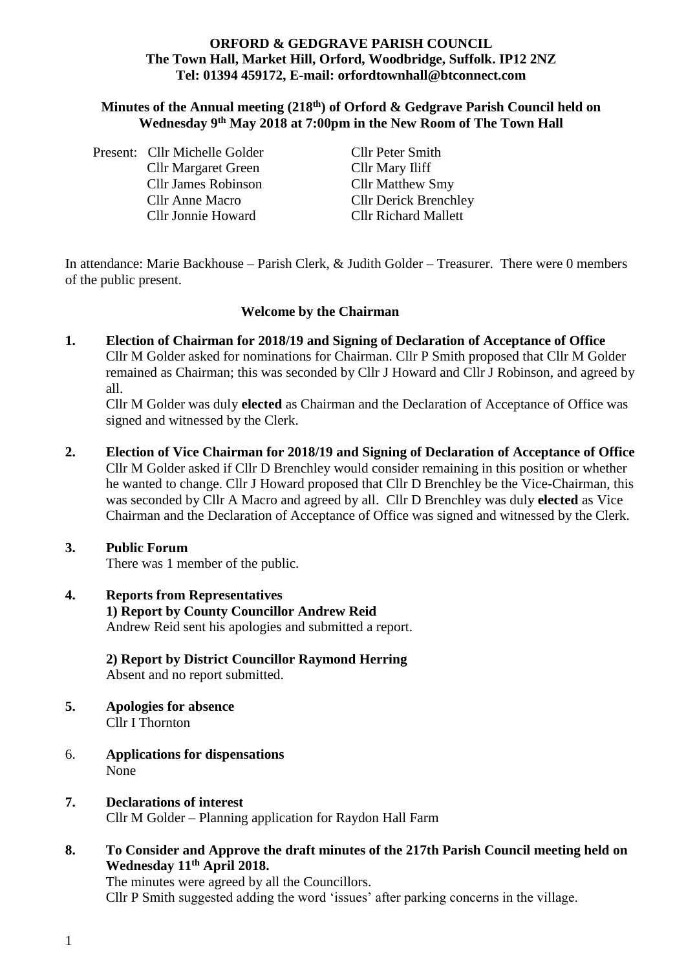#### **ORFORD & GEDGRAVE PARISH COUNCIL The Town Hall, Market Hill, Orford, Woodbridge, Suffolk. IP12 2NZ Tel: 01394 459172, E-mail: orfordtownhall@btconnect.com**

#### **Minutes of the Annual meeting (218 th) of Orford & Gedgrave Parish Council held on Wednesday 9 th May 2018 at 7:00pm in the New Room of The Town Hall**

|  | Present: Cllr Michelle Golder | Cllr Peter Smith             |
|--|-------------------------------|------------------------------|
|  | <b>Cllr Margaret Green</b>    | Cllr Mary Iliff              |
|  | <b>Cllr James Robinson</b>    | <b>Cllr Matthew Smy</b>      |
|  | <b>Cllr Anne Macro</b>        | <b>Cllr Derick Brenchley</b> |
|  | Cllr Jonnie Howard            | <b>Cllr Richard Mallett</b>  |

In attendance: Marie Backhouse – Parish Clerk, & Judith Golder – Treasurer. There were 0 members of the public present.

#### **Welcome by the Chairman**

**1. Election of Chairman for 2018/19 and Signing of Declaration of Acceptance of Office**  Cllr M Golder asked for nominations for Chairman. Cllr P Smith proposed that Cllr M Golder remained as Chairman; this was seconded by Cllr J Howard and Cllr J Robinson, and agreed by all.

Cllr M Golder was duly **elected** as Chairman and the Declaration of Acceptance of Office was signed and witnessed by the Clerk.

**2. Election of Vice Chairman for 2018/19 and Signing of Declaration of Acceptance of Office** Cllr M Golder asked if Cllr D Brenchley would consider remaining in this position or whether he wanted to change. Cllr J Howard proposed that Cllr D Brenchley be the Vice-Chairman, this was seconded by Cllr A Macro and agreed by all.Cllr D Brenchley was duly **elected** as Vice Chairman and the Declaration of Acceptance of Office was signed and witnessed by the Clerk.

#### **3. Public Forum**

There was 1 member of the public.

**4. Reports from Representatives 1) Report by County Councillor Andrew Reid** Andrew Reid sent his apologies and submitted a report.

# **2) Report by District Councillor Raymond Herring**

Absent and no report submitted.

- **5. Apologies for absence** Cllr I Thornton
- 6. **Applications for dispensations** None
- **7. Declarations of interest** Cllr M Golder – Planning application for Raydon Hall Farm
- **8. To Consider and Approve the draft minutes of the 217th Parish Council meeting held on Wednesday 11 th April 2018.**

The minutes were agreed by all the Councillors. Cllr P Smith suggested adding the word 'issues' after parking concerns in the village.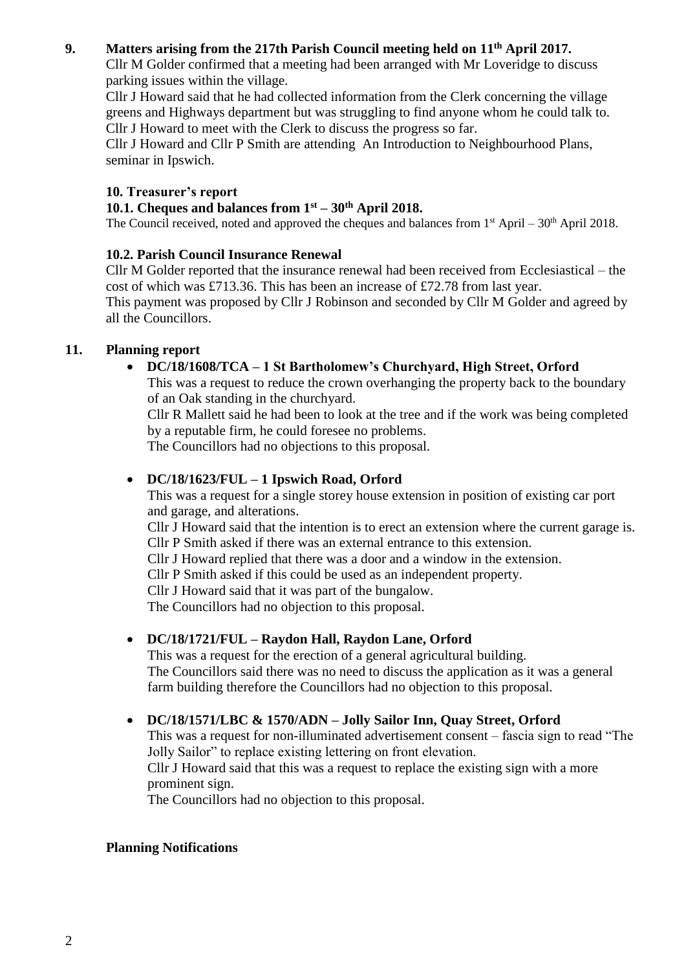## **9. Matters arising from the 217th Parish Council meeting held on 11th April 2017.**

Cllr M Golder confirmed that a meeting had been arranged with Mr Loveridge to discuss parking issues within the village.

Cllr J Howard said that he had collected information from the Clerk concerning the village greens and Highways department but was struggling to find anyone whom he could talk to. Cllr J Howard to meet with the Clerk to discuss the progress so far.

Cllr J Howard and Cllr P Smith are attending An Introduction to Neighbourhood Plans, seminar in Ipswich.

## **10. Treasurer's report**

# **10.1. Cheques and balances from 1st – 30th April 2018.**

The Council received, noted and approved the cheques and balances from  $1<sup>st</sup>$  April – 30<sup>th</sup> April 2018.

# **10.2. Parish Council Insurance Renewal**

Cllr M Golder reported that the insurance renewal had been received from Ecclesiastical – the cost of which was £713.36. This has been an increase of £72.78 from last year. This payment was proposed by Cllr J Robinson and seconded by Cllr M Golder and agreed by all the Councillors.

### **11. Planning report**

• **DC/18/1608/TCA – 1 St Bartholomew's Churchyard, High Street, Orford**

This was a request to reduce the crown overhanging the property back to the boundary of an Oak standing in the churchyard.

Cllr R Mallett said he had been to look at the tree and if the work was being completed by a reputable firm, he could foresee no problems.

The Councillors had no objections to this proposal.

## • **DC/18/1623/FUL – 1 Ipswich Road, Orford**

This was a request for a single storey house extension in position of existing car port and garage, and alterations.

Cllr J Howard said that the intention is to erect an extension where the current garage is. Cllr P Smith asked if there was an external entrance to this extension.

Cllr J Howard replied that there was a door and a window in the extension.

Cllr P Smith asked if this could be used as an independent property.

Cllr J Howard said that it was part of the bungalow.

The Councillors had no objection to this proposal.

# • **DC/18/1721/FUL – Raydon Hall, Raydon Lane, Orford**

This was a request for the erection of a general agricultural building. The Councillors said there was no need to discuss the application as it was a general farm building therefore the Councillors had no objection to this proposal.

# • **DC/18/1571/LBC & 1570/ADN – Jolly Sailor Inn, Quay Street, Orford**

This was a request for non-illuminated advertisement consent – fascia sign to read "The Jolly Sailor" to replace existing lettering on front elevation.

Cllr J Howard said that this was a request to replace the existing sign with a more prominent sign.

The Councillors had no objection to this proposal.

#### **Planning Notifications**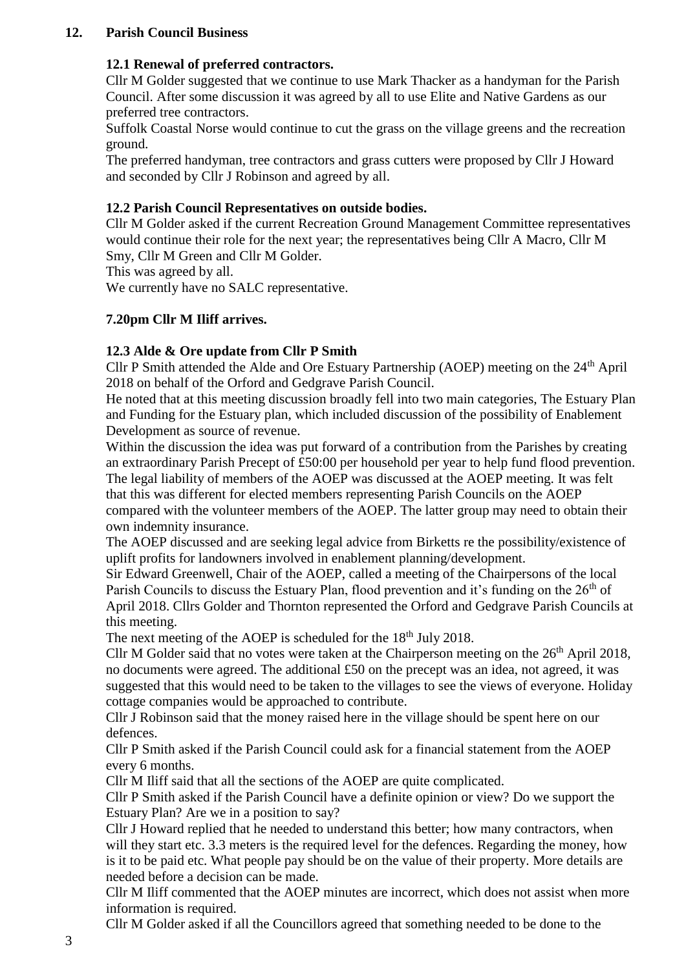### **12. Parish Council Business**

### **12.1 Renewal of preferred contractors.**

Cllr M Golder suggested that we continue to use Mark Thacker as a handyman for the Parish Council. After some discussion it was agreed by all to use Elite and Native Gardens as our preferred tree contractors.

Suffolk Coastal Norse would continue to cut the grass on the village greens and the recreation ground.

The preferred handyman, tree contractors and grass cutters were proposed by Cllr J Howard and seconded by Cllr J Robinson and agreed by all.

## **12.2 Parish Council Representatives on outside bodies.**

Cllr M Golder asked if the current Recreation Ground Management Committee representatives would continue their role for the next year; the representatives being Cllr A Macro, Cllr M Smy, Cllr M Green and Cllr M Golder.

This was agreed by all.

We currently have no SALC representative.

### **7.20pm Cllr M Iliff arrives.**

### **12.3 Alde & Ore update from Cllr P Smith**

Cllr P Smith attended the Alde and Ore Estuary Partnership (AOEP) meeting on the 24th April 2018 on behalf of the Orford and Gedgrave Parish Council.

He noted that at this meeting discussion broadly fell into two main categories, The Estuary Plan and Funding for the Estuary plan, which included discussion of the possibility of Enablement Development as source of revenue.

Within the discussion the idea was put forward of a contribution from the Parishes by creating an extraordinary Parish Precept of £50:00 per household per year to help fund flood prevention. The legal liability of members of the AOEP was discussed at the AOEP meeting. It was felt that this was different for elected members representing Parish Councils on the AOEP compared with the volunteer members of the AOEP. The latter group may need to obtain their own indemnity insurance.

The AOEP discussed and are seeking legal advice from Birketts re the possibility/existence of uplift profits for landowners involved in enablement planning/development.

Sir Edward Greenwell, Chair of the AOEP, called a meeting of the Chairpersons of the local Parish Councils to discuss the Estuary Plan, flood prevention and it's funding on the 26<sup>th</sup> of April 2018. Cllrs Golder and Thornton represented the Orford and Gedgrave Parish Councils at this meeting.

The next meeting of the AOEP is scheduled for the 18<sup>th</sup> July 2018.

Cllr M Golder said that no votes were taken at the Chairperson meeting on the  $26<sup>th</sup>$  April 2018. no documents were agreed. The additional £50 on the precept was an idea, not agreed, it was suggested that this would need to be taken to the villages to see the views of everyone. Holiday cottage companies would be approached to contribute.

Cllr J Robinson said that the money raised here in the village should be spent here on our defences.

Cllr P Smith asked if the Parish Council could ask for a financial statement from the AOEP every 6 months.

Cllr M Iliff said that all the sections of the AOEP are quite complicated.

Cllr P Smith asked if the Parish Council have a definite opinion or view? Do we support the Estuary Plan? Are we in a position to say?

Cllr J Howard replied that he needed to understand this better; how many contractors, when will they start etc. 3.3 meters is the required level for the defences. Regarding the money, how is it to be paid etc. What people pay should be on the value of their property. More details are needed before a decision can be made.

Cllr M Iliff commented that the AOEP minutes are incorrect, which does not assist when more information is required.

Cllr M Golder asked if all the Councillors agreed that something needed to be done to the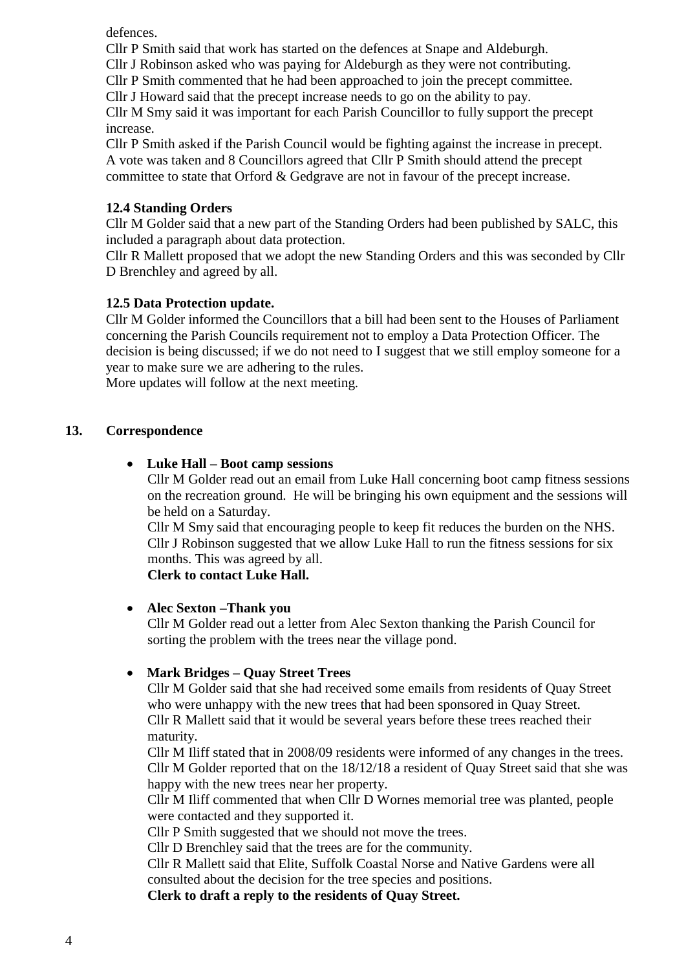defences.

Cllr P Smith said that work has started on the defences at Snape and Aldeburgh.

Cllr J Robinson asked who was paying for Aldeburgh as they were not contributing.

Cllr P Smith commented that he had been approached to join the precept committee.

Cllr J Howard said that the precept increase needs to go on the ability to pay.

Cllr M Smy said it was important for each Parish Councillor to fully support the precept increase.

Cllr P Smith asked if the Parish Council would be fighting against the increase in precept. A vote was taken and 8 Councillors agreed that Cllr P Smith should attend the precept committee to state that Orford & Gedgrave are not in favour of the precept increase.

# **12.4 Standing Orders**

Cllr M Golder said that a new part of the Standing Orders had been published by SALC, this included a paragraph about data protection.

Cllr R Mallett proposed that we adopt the new Standing Orders and this was seconded by Cllr D Brenchley and agreed by all.

# **12.5 Data Protection update.**

Cllr M Golder informed the Councillors that a bill had been sent to the Houses of Parliament concerning the Parish Councils requirement not to employ a Data Protection Officer. The decision is being discussed; if we do not need to I suggest that we still employ someone for a year to make sure we are adhering to the rules.

More updates will follow at the next meeting.

# **13. Correspondence**

# • **Luke Hall – Boot camp sessions**

Cllr M Golder read out an email from Luke Hall concerning boot camp fitness sessions on the recreation ground. He will be bringing his own equipment and the sessions will be held on a Saturday.

Cllr M Smy said that encouraging people to keep fit reduces the burden on the NHS. Cllr J Robinson suggested that we allow Luke Hall to run the fitness sessions for six months. This was agreed by all.

**Clerk to contact Luke Hall.**

# • **Alec Sexton –Thank you**

Cllr M Golder read out a letter from Alec Sexton thanking the Parish Council for sorting the problem with the trees near the village pond.

# • **Mark Bridges – Quay Street Trees**

Cllr M Golder said that she had received some emails from residents of Quay Street who were unhappy with the new trees that had been sponsored in Quay Street. Cllr R Mallett said that it would be several years before these trees reached their maturity.

Cllr M Iliff stated that in 2008/09 residents were informed of any changes in the trees. Cllr M Golder reported that on the 18/12/18 a resident of Quay Street said that she was happy with the new trees near her property.

Cllr M Iliff commented that when Cllr D Wornes memorial tree was planted, people were contacted and they supported it.

Cllr P Smith suggested that we should not move the trees.

Cllr D Brenchley said that the trees are for the community.

Cllr R Mallett said that Elite, Suffolk Coastal Norse and Native Gardens were all consulted about the decision for the tree species and positions.

**Clerk to draft a reply to the residents of Quay Street.**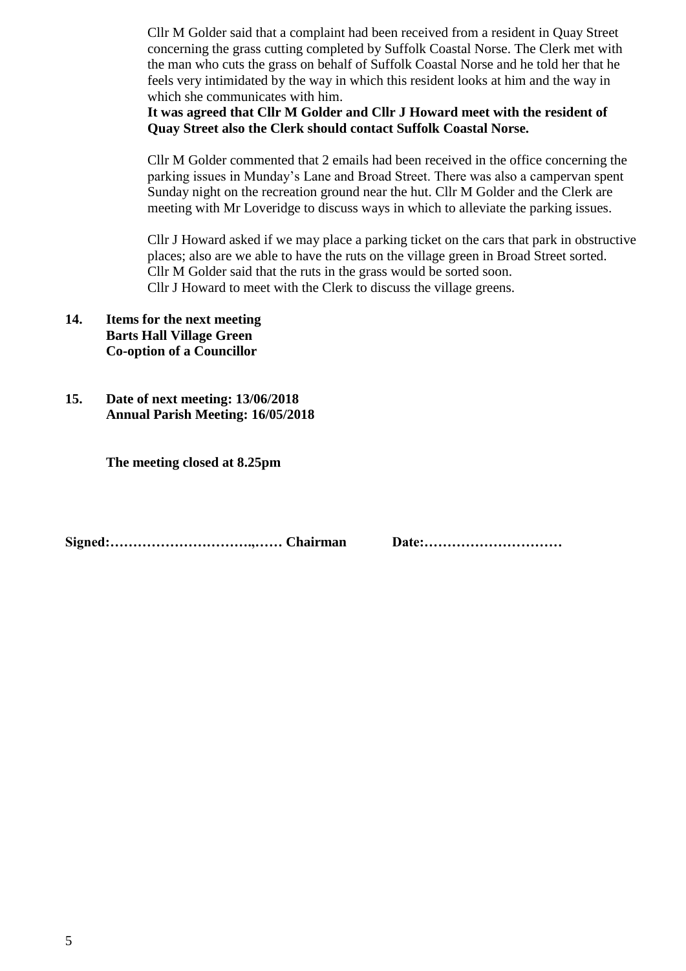Cllr M Golder said that a complaint had been received from a resident in Quay Street concerning the grass cutting completed by Suffolk Coastal Norse. The Clerk met with the man who cuts the grass on behalf of Suffolk Coastal Norse and he told her that he feels very intimidated by the way in which this resident looks at him and the way in which she communicates with him.

**It was agreed that Cllr M Golder and Cllr J Howard meet with the resident of Quay Street also the Clerk should contact Suffolk Coastal Norse.**

Cllr M Golder commented that 2 emails had been received in the office concerning the parking issues in Munday's Lane and Broad Street. There was also a campervan spent Sunday night on the recreation ground near the hut. Cllr M Golder and the Clerk are meeting with Mr Loveridge to discuss ways in which to alleviate the parking issues.

Cllr J Howard asked if we may place a parking ticket on the cars that park in obstructive places; also are we able to have the ruts on the village green in Broad Street sorted. Cllr M Golder said that the ruts in the grass would be sorted soon. Cllr J Howard to meet with the Clerk to discuss the village greens.

- **14. Items for the next meeting Barts Hall Village Green Co-option of a Councillor**
- **15. Date of next meeting: 13/06/2018 Annual Parish Meeting: 16/05/2018**

**The meeting closed at 8.25pm**

**Signed:………………………….,…… Chairman Date:…………………………**